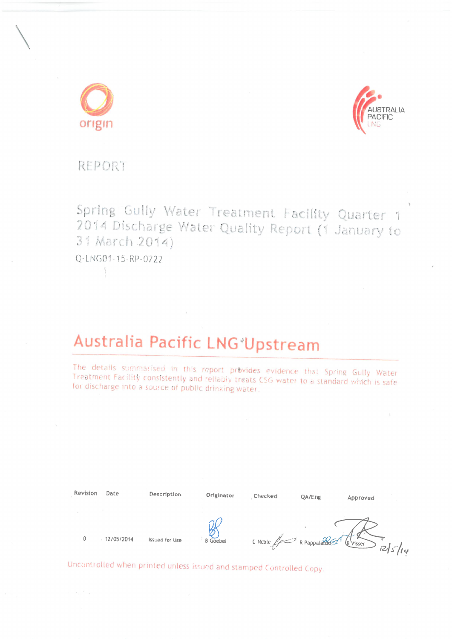



# **REPORT**

Spring Gully Water Treatment Facility Quarter 1 2014 Discharge Water Quality Report (1 January to 31 March 2014)

Q-LNG01-15-RP-0722

 $\sim$   $\sim$   $^{-2}$   $\sim$   $\geq$ 

# Australia Pacific LNG Upstream

The details summarised in this report provides evidence that Spring Gully Water Treatment Facility consistently and reliably treats CSG water to a standard which is safe for discharge into a source of public drinking water.

| Revision | Date       | Description           | Originator      | Checked                  | QA/Eng | Approved           |
|----------|------------|-----------------------|-----------------|--------------------------|--------|--------------------|
| 0        | 12/05/2014 | <b>Issued for Use</b> | <b>B</b> Goebel | C Noble ( C R Pappalando |        | E'Visser<br>125/14 |

Uncontrolled when printed unless issued and stamped Controlled Copy.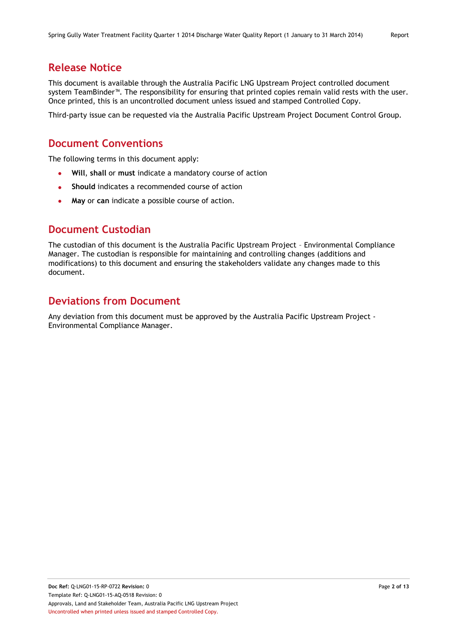# **Release Notice**

This document is available through the Australia Pacific LNG Upstream Project controlled document system TeamBinder™. The responsibility for ensuring that printed copies remain valid rests with the user. Once printed, this is an uncontrolled document unless issued and stamped Controlled Copy.

Third-party issue can be requested via the Australia Pacific Upstream Project Document Control Group.

# **Document Conventions**

The following terms in this document apply:

- **Will**, **shall** or **must** indicate a mandatory course of action
- **Should** indicates a recommended course of action
- **May** or **can** indicate a possible course of action.

## **Document Custodian**

The custodian of this document is the Australia Pacific Upstream Project – Environmental Compliance Manager. The custodian is responsible for maintaining and controlling changes (additions and modifications) to this document and ensuring the stakeholders validate any changes made to this document.

# **Deviations from Document**

Any deviation from this document must be approved by the Australia Pacific Upstream Project - Environmental Compliance Manager.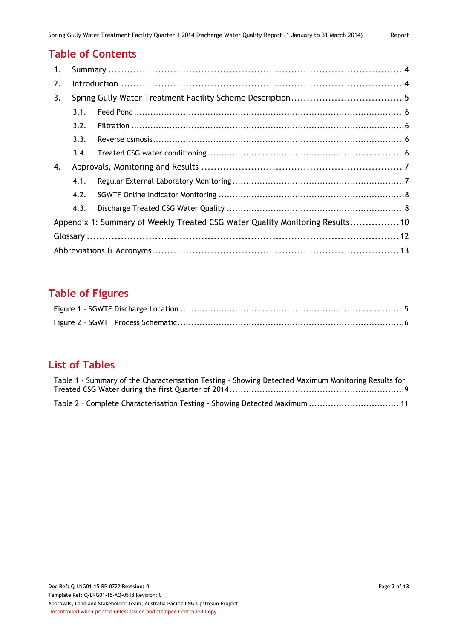# **Table of Contents**

| 1. |      |                                                                              |  |  |
|----|------|------------------------------------------------------------------------------|--|--|
| 2. |      |                                                                              |  |  |
| 3. |      |                                                                              |  |  |
|    | 3.1. |                                                                              |  |  |
|    | 3.2. |                                                                              |  |  |
|    | 3.3. |                                                                              |  |  |
|    | 3.4. |                                                                              |  |  |
| 4. |      |                                                                              |  |  |
|    | 4.1. |                                                                              |  |  |
|    | 4.2. |                                                                              |  |  |
|    | 4.3. |                                                                              |  |  |
|    |      | Appendix 1: Summary of Weekly Treated CSG Water Quality Monitoring Results10 |  |  |
|    |      |                                                                              |  |  |
|    |      |                                                                              |  |  |

# **Table of Figures**

# **List of Tables**

| Table 1 - Summary of the Characterisation Testing - Showing Detected Maximum Monitoring Results for |  |
|-----------------------------------------------------------------------------------------------------|--|
|                                                                                                     |  |
| Table 2 - Complete Characterisation Testing - Showing Detected Maximum  11                          |  |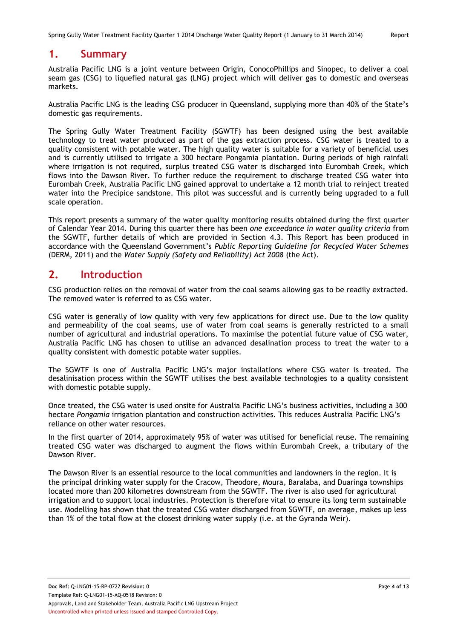## <span id="page-3-0"></span>**1. Summary**

Australia Pacific LNG is a joint venture between Origin, ConocoPhillips and Sinopec, to deliver a coal seam gas (CSG) to liquefied natural gas (LNG) project which will deliver gas to domestic and overseas markets.

Australia Pacific LNG is the leading CSG producer in Queensland, supplying more than 40% of the State's domestic gas requirements.

The Spring Gully Water Treatment Facility (SGWTF) has been designed using the best available technology to treat water produced as part of the gas extraction process. CSG water is treated to a quality consistent with potable water. The high quality water is suitable for a variety of beneficial uses and is currently utilised to irrigate a 300 hectare Pongamia plantation. During periods of high rainfall where irrigation is not required, surplus treated CSG water is discharged into Eurombah Creek, which flows into the Dawson River. To further reduce the requirement to discharge treated CSG water into Eurombah Creek, Australia Pacific LNG gained approval to undertake a 12 month trial to reinject treated water into the Precipice sandstone. This pilot was successful and is currently being upgraded to a full scale operation.

This report presents a summary of the water quality monitoring results obtained during the first quarter of Calendar Year 2014. During this quarter there has been *one exceedance in water quality criteria* from the SGWTF, further details of which are provided in Section 4.3. This Report has been produced in accordance with the Queensland Government's *Public Reporting Guideline for Recycled Water Schemes*  (DERM, 2011) and the *Water Supply (Safety and Reliability) Act 2008* (the Act).

## <span id="page-3-1"></span>**2. Introduction**

CSG production relies on the removal of water from the coal seams allowing gas to be readily extracted. The removed water is referred to as CSG water.

CSG water is generally of low quality with very few applications for direct use. Due to the low quality and permeability of the coal seams, use of water from coal seams is generally restricted to a small number of agricultural and industrial operations. To maximise the potential future value of CSG water, Australia Pacific LNG has chosen to utilise an advanced desalination process to treat the water to a quality consistent with domestic potable water supplies.

The SGWTF is one of Australia Pacific LNG's major installations where CSG water is treated. The desalinisation process within the SGWTF utilises the best available technologies to a quality consistent with domestic potable supply.

Once treated, the CSG water is used onsite for Australia Pacific LNG's business activities, including a 300 hectare *Pongamia* irrigation plantation and construction activities. This reduces Australia Pacific LNG's reliance on other water resources.

In the first quarter of 2014, approximately 95% of water was utilised for beneficial reuse. The remaining treated CSG water was discharged to augment the flows within Eurombah Creek, a tributary of the Dawson River.

The Dawson River is an essential resource to the local communities and landowners in the region. It is the principal drinking water supply for the Cracow, Theodore, Moura, Baralaba, and Duaringa townships located more than 200 kilometres downstream from the SGWTF. The river is also used for agricultural irrigation and to support local industries. Protection is therefore vital to ensure its long term sustainable use. Modelling has shown that the treated CSG water discharged from SGWTF, on average, makes up less than 1% of the total flow at the closest drinking water supply (i.e. at the Gyranda Weir).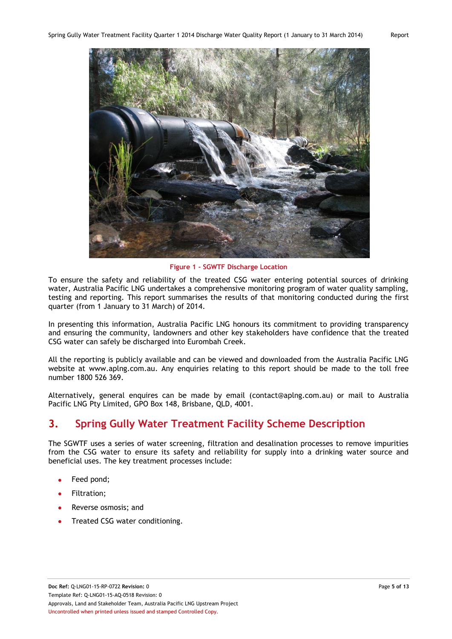

**Figure 1 - SGWTF Discharge Location**

<span id="page-4-1"></span>To ensure the safety and reliability of the treated CSG water entering potential sources of drinking water, Australia Pacific LNG undertakes a comprehensive monitoring program of water quality sampling, testing and reporting. This report summarises the results of that monitoring conducted during the first quarter (from 1 January to 31 March) of 2014.

In presenting this information, Australia Pacific LNG honours its commitment to providing transparency and ensuring the community, landowners and other key stakeholders have confidence that the treated CSG water can safely be discharged into Eurombah Creek.

All the reporting is publicly available and can be viewed and downloaded from the Australia Pacific LNG website at [www.aplng.com.au.](http://www.aplng.com.au/) Any enquiries relating to this report should be made to the toll free number 1800 526 369.

Alternatively, general enquires can be made by email [\(contact@aplng.com.au\)](mailto:contact@aplng.com.au) or mail to Australia Pacific LNG Pty Limited, GPO Box 148, Brisbane, QLD, 4001.

# <span id="page-4-0"></span>**3. Spring Gully Water Treatment Facility Scheme Description**

The SGWTF uses a series of water screening, filtration and desalination processes to remove impurities from the CSG water to ensure its safety and reliability for supply into a drinking water source and beneficial uses. The key treatment processes include:

- Feed pond;
- Filtration;
- Reverse osmosis; and
- Treated CSG water conditioning.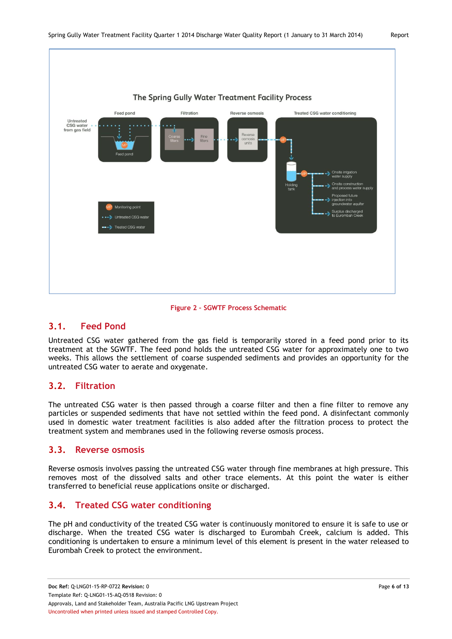



#### <span id="page-5-4"></span><span id="page-5-0"></span>**3.1. Feed Pond**

Untreated CSG water gathered from the gas field is temporarily stored in a feed pond prior to its treatment at the SGWTF. The feed pond holds the untreated CSG water for approximately one to two weeks. This allows the settlement of coarse suspended sediments and provides an opportunity for the untreated CSG water to aerate and oxygenate.

#### <span id="page-5-1"></span>**3.2. Filtration**

The untreated CSG water is then passed through a coarse filter and then a fine filter to remove any particles or suspended sediments that have not settled within the feed pond. A disinfectant commonly used in domestic water treatment facilities is also added after the filtration process to protect the treatment system and membranes used in the following reverse osmosis process.

#### <span id="page-5-2"></span>**3.3. Reverse osmosis**

Reverse osmosis involves passing the untreated CSG water through fine membranes at high pressure. This removes most of the dissolved salts and other trace elements. At this point the water is either transferred to beneficial reuse applications onsite or discharged.

#### <span id="page-5-3"></span>**3.4. Treated CSG water conditioning**

The pH and conductivity of the treated CSG water is continuously monitored to ensure it is safe to use or discharge. When the treated CSG water is discharged to Eurombah Creek, calcium is added. This conditioning is undertaken to ensure a minimum level of this element is present in the water released to Eurombah Creek to protect the environment.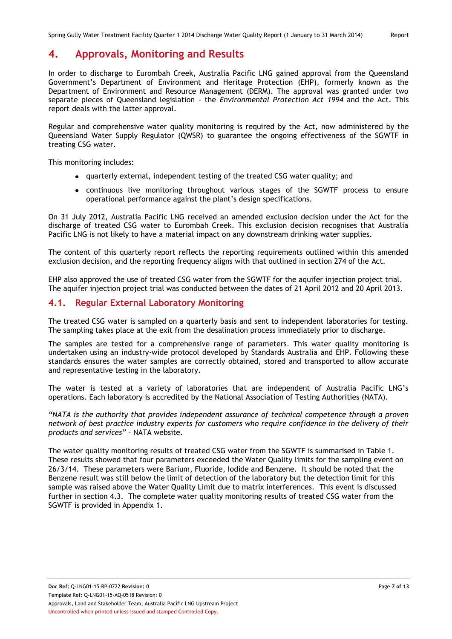## <span id="page-6-0"></span>**4. Approvals, Monitoring and Results**

In order to discharge to Eurombah Creek, Australia Pacific LNG gained approval from the Queensland Government's Department of Environment and Heritage Protection (EHP), formerly known as the Department of Environment and Resource Management (DERM). The approval was granted under two separate pieces of Queensland legislation - the *Environmental Protection Act 1994* and the Act. This report deals with the latter approval.

Regular and comprehensive water quality monitoring is required by the Act*,* now administered by the Queensland Water Supply Regulator (QWSR) to guarantee the ongoing effectiveness of the SGWTF in treating CSG water.

This monitoring includes:

- quarterly external, independent testing of the treated CSG water quality; and
- continuous live monitoring throughout various stages of the SGWTF process to ensure operational performance against the plant's design specifications.

On 31 July 2012, Australia Pacific LNG received an amended exclusion decision under the Act for the discharge of treated CSG water to Eurombah Creek. This exclusion decision recognises that Australia Pacific LNG is not likely to have a material impact on any downstream drinking water supplies.

The content of this quarterly report reflects the reporting requirements outlined within this amended exclusion decision, and the reporting frequency aligns with that outlined in section 274 of the Act.

EHP also approved the use of treated CSG water from the SGWTF for the aquifer injection project trial. The aquifer injection project trial was conducted between the dates of 21 April 2012 and 20 April 2013.

#### <span id="page-6-1"></span>**4.1. Regular External Laboratory Monitoring**

The treated CSG water is sampled on a quarterly basis and sent to independent laboratories for testing. The sampling takes place at the exit from the desalination process immediately prior to discharge.

The samples are tested for a comprehensive range of parameters. This water quality monitoring is undertaken using an industry-wide protocol developed by Standards Australia and EHP. Following these standards ensures the water samples are correctly obtained, stored and transported to allow accurate and representative testing in the laboratory.

The water is tested at a variety of laboratories that are independent of Australia Pacific LNG's operations. Each laboratory is accredited by the National Association of Testing Authorities (NATA).

*"NATA is the authority that provides independent assurance of technical competence through a proven network of best practice industry experts for customers who require confidence in the delivery of their products and services"* – NATA website.

The water quality monitoring results of treated CSG water from the SGWTF is summarised in Table 1. These results showed that four parameters exceeded the Water Quality limits for the sampling event on 26/3/14. These parameters were Barium, Fluoride, Iodide and Benzene. It should be noted that the Benzene result was still below the limit of detection of the laboratory but the detection limit for this sample was raised above the Water Quality Limit due to matrix interferences. This event is discussed further in section 4.3. The complete water quality monitoring results of treated CSG water from the SGWTF is provided in Appendix 1.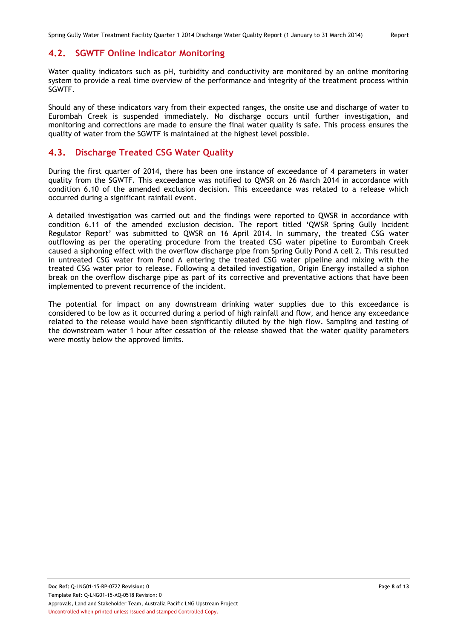#### <span id="page-7-0"></span>**4.2. SGWTF Online Indicator Monitoring**

Water quality indicators such as pH, turbidity and conductivity are monitored by an online monitoring system to provide a real time overview of the performance and integrity of the treatment process within SGWTF.

Should any of these indicators vary from their expected ranges, the onsite use and discharge of water to Eurombah Creek is suspended immediately. No discharge occurs until further investigation, and monitoring and corrections are made to ensure the final water quality is safe. This process ensures the quality of water from the SGWTF is maintained at the highest level possible.

#### <span id="page-7-1"></span>**4.3. Discharge Treated CSG Water Quality**

During the first quarter of 2014, there has been one instance of exceedance of 4 parameters in water quality from the SGWTF. This exceedance was notified to QWSR on 26 March 2014 in accordance with condition 6.10 of the amended exclusion decision. This exceedance was related to a release which occurred during a significant rainfall event.

A detailed investigation was carried out and the findings were reported to QWSR in accordance with condition 6.11 of the amended exclusion decision. The report titled 'QWSR Spring Gully Incident Regulator Report' was submitted to QWSR on 16 April 2014. In summary, the treated CSG water outflowing as per the operating procedure from the treated CSG water pipeline to Eurombah Creek caused a siphoning effect with the overflow discharge pipe from Spring Gully Pond A cell 2. This resulted in untreated CSG water from Pond A entering the treated CSG water pipeline and mixing with the treated CSG water prior to release. Following a detailed investigation, Origin Energy installed a siphon break on the overflow discharge pipe as part of its corrective and preventative actions that have been implemented to prevent recurrence of the incident.

The potential for impact on any downstream drinking water supplies due to this exceedance is considered to be low as it occurred during a period of high rainfall and flow, and hence any exceedance related to the release would have been significantly diluted by the high flow. Sampling and testing of the downstream water 1 hour after cessation of the release showed that the water quality parameters were mostly below the approved limits.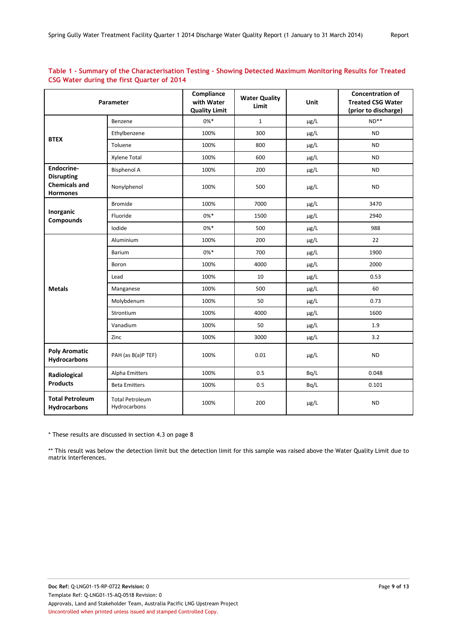|                                                              | Parameter                              | Compliance<br>with Water<br><b>Quality Limit</b> | <b>Water Quality</b><br>Limit | Unit                   | <b>Concentration of</b><br><b>Treated CSG Water</b><br>(prior to discharge) |
|--------------------------------------------------------------|----------------------------------------|--------------------------------------------------|-------------------------------|------------------------|-----------------------------------------------------------------------------|
|                                                              | Benzene                                | $0\%*$                                           | $\mathbf{1}$                  | µg/L                   | $ND**$                                                                      |
| <b>BTEX</b>                                                  | Ethylbenzene                           | 100%                                             | 300                           | µg/L                   | <b>ND</b>                                                                   |
|                                                              | Toluene                                | 100%                                             | 800                           | µg/L                   | <b>ND</b>                                                                   |
|                                                              | Xylene Total                           | 100%                                             | 600                           | µg/L                   | <b>ND</b>                                                                   |
| Endocrine-                                                   | <b>Bisphenol A</b>                     | 100%                                             | 200                           | $\mu\text{g}/\text{L}$ | <b>ND</b>                                                                   |
| <b>Disrupting</b><br><b>Chemicals and</b><br><b>Hormones</b> | Nonylphenol                            | 100%                                             | 500                           | µg/L                   | <b>ND</b>                                                                   |
|                                                              | <b>Bromide</b>                         | 100%                                             | 7000                          | µg/L                   | 3470                                                                        |
| Inorganic<br><b>Compounds</b>                                | Fluoride                               | $0\%*$                                           | 1500                          | µg/L                   | 2940                                                                        |
|                                                              | Iodide                                 | $0\%*$                                           | 500                           | µg/L                   | 988                                                                         |
|                                                              | Aluminium                              | 100%                                             | 200                           | µg/L                   | 22                                                                          |
|                                                              | Barium                                 | $0\% *$                                          | 700                           | $\mu$ g/L              | 1900                                                                        |
|                                                              | Boron                                  | 100%                                             | 4000                          | µg/L                   | 2000                                                                        |
|                                                              | Lead                                   | 100%                                             | 10                            | $\mu$ g/L              | 0.53                                                                        |
| <b>Metals</b>                                                | Manganese                              | 100%                                             | 500                           | µg/L                   | 60                                                                          |
|                                                              | Molybdenum                             | 100%                                             | 50                            | µg/L                   | 0.73                                                                        |
|                                                              | Strontium                              | 100%                                             | 4000                          | µg/L                   | 1600                                                                        |
|                                                              | Vanadium                               | 100%                                             | 50                            | $\mu\text{g}/\text{L}$ | 1.9                                                                         |
|                                                              | Zinc                                   | 100%                                             | 3000                          | µg/L                   | 3.2                                                                         |
| <b>Poly Aromatic</b><br><b>Hydrocarbons</b>                  | PAH (as B(a)P TEF)                     | 100%                                             | 0.01                          | µg/L                   | <b>ND</b>                                                                   |
| Radiological                                                 | Alpha Emitters                         | 100%                                             | 0.5                           | Bq/L                   | 0.048                                                                       |
| <b>Products</b>                                              | <b>Beta Emitters</b>                   | 100%                                             | 0.5                           | Bq/L                   | 0.101                                                                       |
| <b>Total Petroleum</b><br>Hydrocarbons                       | <b>Total Petroleum</b><br>Hydrocarbons | 100%                                             | 200                           | µg/L                   | <b>ND</b>                                                                   |

#### <span id="page-8-0"></span>**Table 1 - Summary of the Characterisation Testing - Showing Detected Maximum Monitoring Results for Treated CSG Water during the first Quarter of 2014**

\* These results are discussed in section 4.3 on page 8

\*\* This result was below the detection limit but the detection limit for this sample was raised above the Water Quality Limit due to matrix interferences.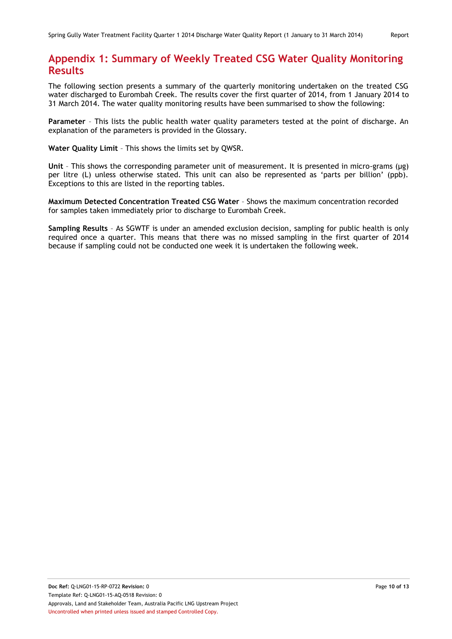# <span id="page-9-0"></span>**Appendix 1: Summary of Weekly Treated CSG Water Quality Monitoring Results**

The following section presents a summary of the quarterly monitoring undertaken on the treated CSG water discharged to Eurombah Creek. The results cover the first quarter of 2014, from 1 January 2014 to 31 March 2014. The water quality monitoring results have been summarised to show the following:

**Parameter** – This lists the public health water quality parameters tested at the point of discharge. An explanation of the parameters is provided in the Glossary.

**Water Quality Limit** – This shows the limits set by QWSR.

**Unit** – This shows the corresponding parameter unit of measurement. It is presented in micro-grams (µg) per litre (L) unless otherwise stated. This unit can also be represented as 'parts per billion' (ppb). Exceptions to this are listed in the reporting tables.

**Maximum Detected Concentration Treated CSG Water** – Shows the maximum concentration recorded for samples taken immediately prior to discharge to Eurombah Creek.

**Sampling Results** – As SGWTF is under an amended exclusion decision, sampling for public health is only required once a quarter. This means that there was no missed sampling in the first quarter of 2014 because if sampling could not be conducted one week it is undertaken the following week.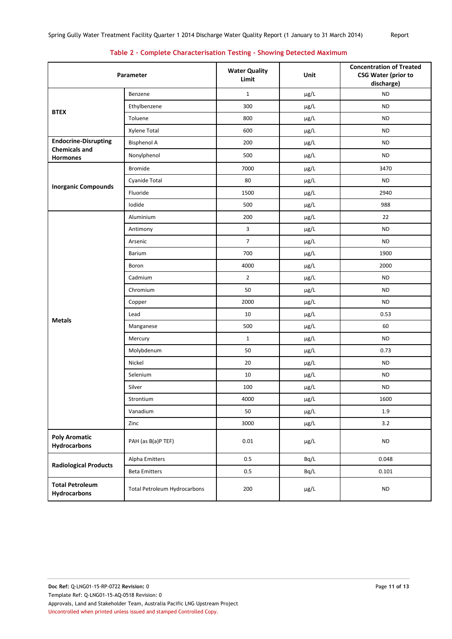|  | Table 2 - Complete Characterisation Testing - Showing Detected Maximum |  |  |
|--|------------------------------------------------------------------------|--|--|
|  |                                                                        |  |  |

<span id="page-10-0"></span>

| Parameter                                           |                              | <b>Water Quality</b><br>Limit | Unit                   | <b>Concentration of Treated</b><br><b>CSG Water (prior to</b><br>discharge) |
|-----------------------------------------------------|------------------------------|-------------------------------|------------------------|-----------------------------------------------------------------------------|
|                                                     | Benzene                      | $\mathbf{1}$                  | $\mu$ g/L              | <b>ND</b>                                                                   |
| <b>BTEX</b>                                         | Ethylbenzene                 | 300                           | µg/L                   | <b>ND</b>                                                                   |
|                                                     | Toluene                      | 800                           | $\mu$ g/L              | <b>ND</b>                                                                   |
|                                                     | Xylene Total                 | 600                           | $\mu$ g/L              | <b>ND</b>                                                                   |
| <b>Endocrine-Disrupting</b><br><b>Chemicals and</b> | <b>Bisphenol A</b>           | 200                           | $\mu$ g/L              | <b>ND</b>                                                                   |
| <b>Hormones</b>                                     | Nonylphenol                  | 500                           | $\mu$ g/L              | <b>ND</b>                                                                   |
|                                                     | <b>Bromide</b>               | 7000                          | µg/L                   | 3470                                                                        |
|                                                     | Cyanide Total                | 80                            | µg/L                   | <b>ND</b>                                                                   |
| <b>Inorganic Compounds</b>                          | Fluoride                     | 1500                          | $\mu$ g/L              | 2940                                                                        |
|                                                     | Iodide                       | 500                           | µg/L                   | 988                                                                         |
|                                                     | Aluminium                    | 200                           | µg/L                   | 22                                                                          |
|                                                     | Antimony                     | $\overline{\mathbf{3}}$       | $\mu$ g/L              | <b>ND</b>                                                                   |
|                                                     | Arsenic                      | $\overline{7}$                | µg/L                   | <b>ND</b>                                                                   |
|                                                     | <b>Barium</b>                | 700                           | µg/L                   | 1900                                                                        |
|                                                     | Boron                        | 4000                          | $\mu$ g/L              | 2000                                                                        |
|                                                     | Cadmium                      | $\overline{2}$                | $\mu$ g/L              | <b>ND</b>                                                                   |
|                                                     | Chromium                     | 50                            | µg/L                   | <b>ND</b>                                                                   |
|                                                     | Copper                       | 2000                          | $\mu$ g/L              | <b>ND</b>                                                                   |
| <b>Metals</b>                                       | Lead                         | 10                            | µg/L                   | 0.53                                                                        |
|                                                     | Manganese                    | 500                           | $\mu$ g/L              | 60                                                                          |
|                                                     | Mercury                      | $\mathbf{1}$                  | $\mu$ g/L              | <b>ND</b>                                                                   |
|                                                     | Molybdenum                   | 50                            | $\mu$ g/L              | 0.73                                                                        |
|                                                     | Nickel                       | 20                            | µg/L                   | <b>ND</b>                                                                   |
|                                                     | Selenium                     | 10                            | $\mu$ g/L              | <b>ND</b>                                                                   |
|                                                     | Silver                       | 100                           | $\mu$ g/L              | <b>ND</b>                                                                   |
|                                                     | Strontium                    | 4000                          | $\mu\text{g}/\text{L}$ | 1600                                                                        |
|                                                     | Vanadium                     | 50                            | µg/L                   | $1.9\,$                                                                     |
|                                                     | Zinc                         | 3000                          | $\mu$ g/L              | $3.2\,$                                                                     |
| <b>Poly Aromatic</b><br><b>Hydrocarbons</b>         | PAH (as B(a)P TEF)           | $0.01\,$                      | $\mu$ g/L              | $\sf ND$                                                                    |
| <b>Radiological Products</b>                        | Alpha Emitters               | 0.5                           | Bq/L                   | 0.048                                                                       |
|                                                     | <b>Beta Emitters</b>         | 0.5                           | Bq/L                   | 0.101                                                                       |
| <b>Total Petroleum</b><br><b>Hydrocarbons</b>       | Total Petroleum Hydrocarbons | 200                           | µg/L                   | $\sf ND$                                                                    |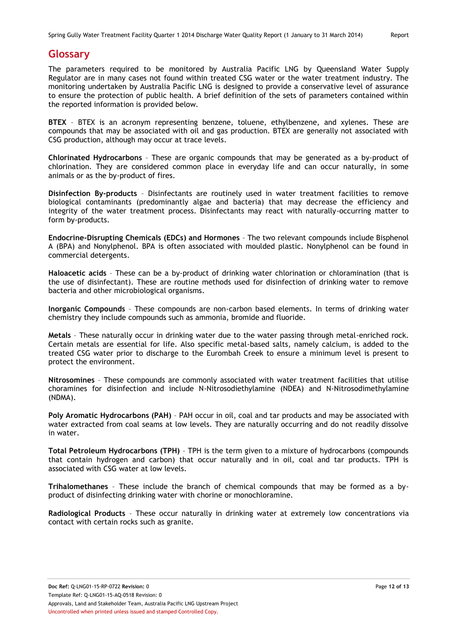# <span id="page-11-0"></span>**Glossary**

The parameters required to be monitored by Australia Pacific LNG by Queensland Water Supply Regulator are in many cases not found within treated CSG water or the water treatment industry. The monitoring undertaken by Australia Pacific LNG is designed to provide a conservative level of assurance to ensure the protection of public health. A brief definition of the sets of parameters contained within the reported information is provided below.

**BTEX** – BTEX is an acronym representing benzene, toluene, ethylbenzene, and xylenes. These are compounds that may be associated with oil and gas production. BTEX are generally not associated with CSG production, although may occur at trace levels.

**Chlorinated Hydrocarbons** – These are organic compounds that may be generated as a by-product of chlorination. They are considered common place in everyday life and can occur naturally, in some animals or as the by-product of fires.

**Disinfection By-products** – Disinfectants are routinely used in water treatment facilities to remove biological contaminants (predominantly algae and bacteria) that may decrease the efficiency and integrity of the water treatment process. Disinfectants may react with naturally-occurring matter to form by-products.

**Endocrine-Disrupting Chemicals (EDCs) and Hormones** – The two relevant compounds include Bisphenol A (BPA) and Nonylphenol. BPA is often associated with moulded plastic. Nonylphenol can be found in commercial detergents.

**Haloacetic acids** – These can be a by-product of drinking water chlorination or chloramination (that is the use of disinfectant). These are routine methods used for disinfection of drinking water to remove bacteria and other microbiological organisms.

**Inorganic Compounds** – These compounds are non-carbon based elements. In terms of drinking water chemistry they include compounds such as ammonia, bromide and fluoride.

**Metals** – These naturally occur in drinking water due to the water passing through metal-enriched rock. Certain metals are essential for life. Also specific metal-based salts, namely calcium, is added to the treated CSG water prior to discharge to the Eurombah Creek to ensure a minimum level is present to protect the environment.

**Nitrosomines** – These compounds are commonly associated with water treatment facilities that utilise choramines for disinfection and include N-Nitrosodiethylamine (NDEA) and N-Nitrosodimethylamine (NDMA).

**Poly Aromatic Hydrocarbons (PAH)** – PAH occur in oil, coal and tar products and may be associated with water extracted from coal seams at low levels. They are naturally occurring and do not readily dissolve in water.

**Total Petroleum Hydrocarbons (TPH)** – TPH is the term given to a mixture of hydrocarbons (compounds that contain hydrogen and carbon) that occur naturally and in oil, coal and tar products. TPH is associated with CSG water at low levels.

**Trihalomethanes** – These include the branch of chemical compounds that may be formed as a byproduct of disinfecting drinking water with chorine or monochloramine.

**Radiological Products** – These occur naturally in drinking water at extremely low concentrations via contact with certain rocks such as granite.